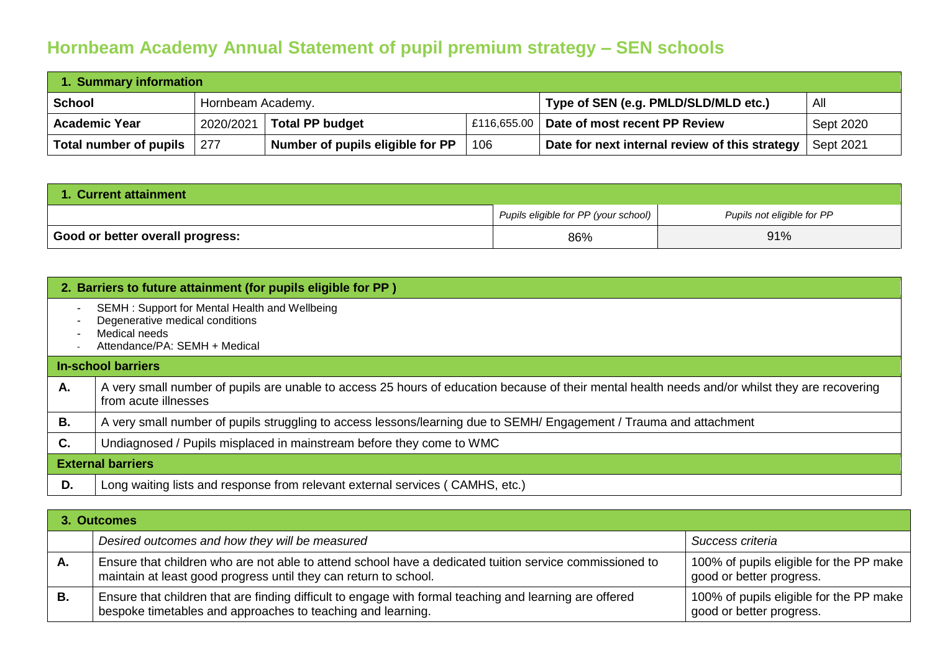## **Hornbeam Academy Annual Statement of pupil premium strategy – SEN schools**

| 1. Summary information |                   |                                  |     |                                                |           |  |  |
|------------------------|-------------------|----------------------------------|-----|------------------------------------------------|-----------|--|--|
| <b>School</b>          | Hornbeam Academy. |                                  |     | Type of SEN (e.g. PMLD/SLD/MLD etc.)           | All       |  |  |
| <b>Academic Year</b>   | 2020/2021         | <b>Total PP budget</b>           |     | £116,655.00 Date of most recent PP Review      | Sept 2020 |  |  |
| Total number of pupils | 277               | Number of pupils eligible for PP | 106 | Date for next internal review of this strategy | Sept 2021 |  |  |

| 1. Current attainment                         |                                      |                            |  |  |  |
|-----------------------------------------------|--------------------------------------|----------------------------|--|--|--|
|                                               | Pupils eligible for PP (your school) | Pupils not eligible for PP |  |  |  |
| <sup>l</sup> Good or better overall progress: | 86%                                  | 91%                        |  |  |  |

|                                                      | 2. Barriers to future attainment (for pupils eligible for PP)                                                                                                           |
|------------------------------------------------------|-------------------------------------------------------------------------------------------------------------------------------------------------------------------------|
| $\overline{\phantom{a}}$<br>$\overline{\phantom{a}}$ | SEMH: Support for Mental Health and Wellbeing<br>Degenerative medical conditions<br>Medical needs<br>Attendance/PA: SEMH + Medical                                      |
|                                                      | <b>In-school barriers</b>                                                                                                                                               |
| Α.                                                   | A very small number of pupils are unable to access 25 hours of education because of their mental health needs and/or whilst they are recovering<br>from acute illnesses |
| В.                                                   | A very small number of pupils struggling to access lessons/learning due to SEMH/ Engagement / Trauma and attachment                                                     |
| C.                                                   | Undiagnosed / Pupils misplaced in mainstream before they come to WMC                                                                                                    |
|                                                      | <b>External barriers</b>                                                                                                                                                |
| D.                                                   | Long waiting lists and response from relevant external services (CAMHS, etc.)                                                                                           |

| 3. Outcomes |                                                                                                                                                                             |                                                                     |  |  |  |
|-------------|-----------------------------------------------------------------------------------------------------------------------------------------------------------------------------|---------------------------------------------------------------------|--|--|--|
|             | Desired outcomes and how they will be measured                                                                                                                              | Success criteria                                                    |  |  |  |
| А.          | Ensure that children who are not able to attend school have a dedicated tuition service commissioned to<br>maintain at least good progress until they can return to school. | 100% of pupils eligible for the PP make<br>good or better progress. |  |  |  |
| В.          | Ensure that children that are finding difficult to engage with formal teaching and learning are offered<br>bespoke timetables and approaches to teaching and learning.      | 100% of pupils eligible for the PP make<br>good or better progress. |  |  |  |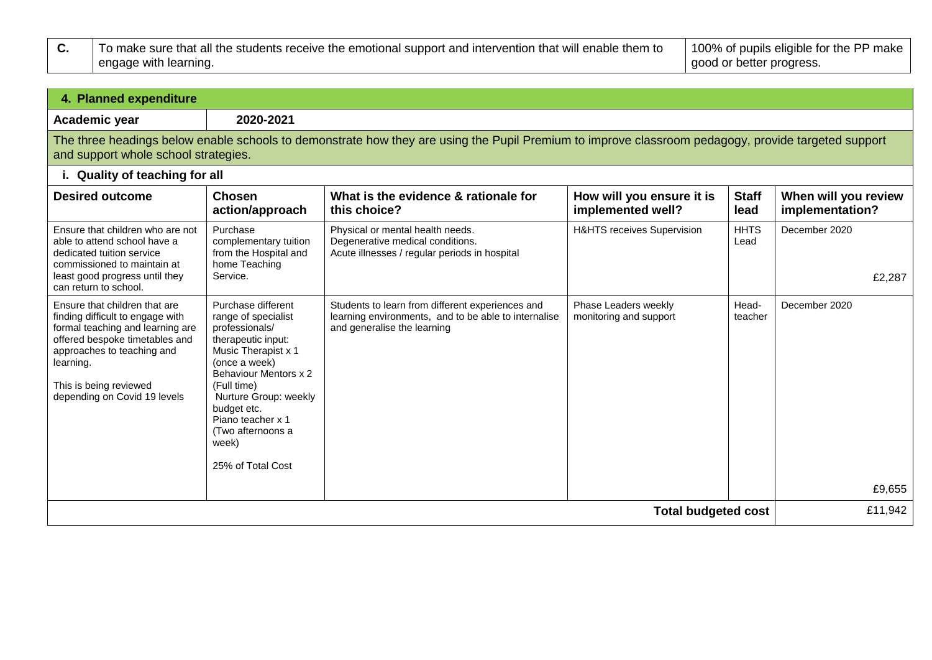| To make sure that all the students receive the emotional support and intervention that will enable them to | 100% of pupils eligible for the PP make |  |
|------------------------------------------------------------------------------------------------------------|-----------------------------------------|--|
| engage with learning.                                                                                      | good or better progress.                |  |

| 4. Planned expenditure                                                                                                                                                                                                                       |                                                                                                                                                                                                                                                                                   |                                                                                                                                         |                                                |                      |                                         |  |
|----------------------------------------------------------------------------------------------------------------------------------------------------------------------------------------------------------------------------------------------|-----------------------------------------------------------------------------------------------------------------------------------------------------------------------------------------------------------------------------------------------------------------------------------|-----------------------------------------------------------------------------------------------------------------------------------------|------------------------------------------------|----------------------|-----------------------------------------|--|
| Academic year                                                                                                                                                                                                                                | 2020-2021                                                                                                                                                                                                                                                                         |                                                                                                                                         |                                                |                      |                                         |  |
| The three headings below enable schools to demonstrate how they are using the Pupil Premium to improve classroom pedagogy, provide targeted support<br>and support whole school strategies.                                                  |                                                                                                                                                                                                                                                                                   |                                                                                                                                         |                                                |                      |                                         |  |
| i. Quality of teaching for all                                                                                                                                                                                                               |                                                                                                                                                                                                                                                                                   |                                                                                                                                         |                                                |                      |                                         |  |
| <b>Desired outcome</b>                                                                                                                                                                                                                       | <b>Chosen</b><br>action/approach                                                                                                                                                                                                                                                  | What is the evidence & rationale for<br>this choice?                                                                                    | How will you ensure it is<br>implemented well? | <b>Staff</b><br>lead | When will you review<br>implementation? |  |
| Ensure that children who are not<br>able to attend school have a<br>dedicated tuition service<br>commissioned to maintain at<br>least good progress until they                                                                               | Purchase<br>complementary tuition<br>from the Hospital and<br>home Teaching<br>Service.                                                                                                                                                                                           | Physical or mental health needs.<br>Degenerative medical conditions.<br>Acute illnesses / regular periods in hospital                   | H&HTS receives Supervision                     | <b>HHTS</b><br>Lead  | December 2020<br>£2,287                 |  |
| can return to school.                                                                                                                                                                                                                        |                                                                                                                                                                                                                                                                                   |                                                                                                                                         |                                                |                      |                                         |  |
| Ensure that children that are<br>finding difficult to engage with<br>formal teaching and learning are<br>offered bespoke timetables and<br>approaches to teaching and<br>learning.<br>This is being reviewed<br>depending on Covid 19 levels | Purchase different<br>range of specialist<br>professionals/<br>therapeutic input:<br>Music Therapist x 1<br>(once a week)<br>Behaviour Mentors x 2<br>(Full time)<br>Nurture Group: weekly<br>budget etc.<br>Piano teacher x 1<br>(Two afternoons a<br>week)<br>25% of Total Cost | Students to learn from different experiences and<br>learning environments, and to be able to internalise<br>and generalise the learning | Phase Leaders weekly<br>monitoring and support | Head-<br>teacher     | December 2020<br>£9,655                 |  |
|                                                                                                                                                                                                                                              |                                                                                                                                                                                                                                                                                   |                                                                                                                                         |                                                |                      |                                         |  |
| <b>Total budgeted cost</b><br>£11,942                                                                                                                                                                                                        |                                                                                                                                                                                                                                                                                   |                                                                                                                                         |                                                |                      |                                         |  |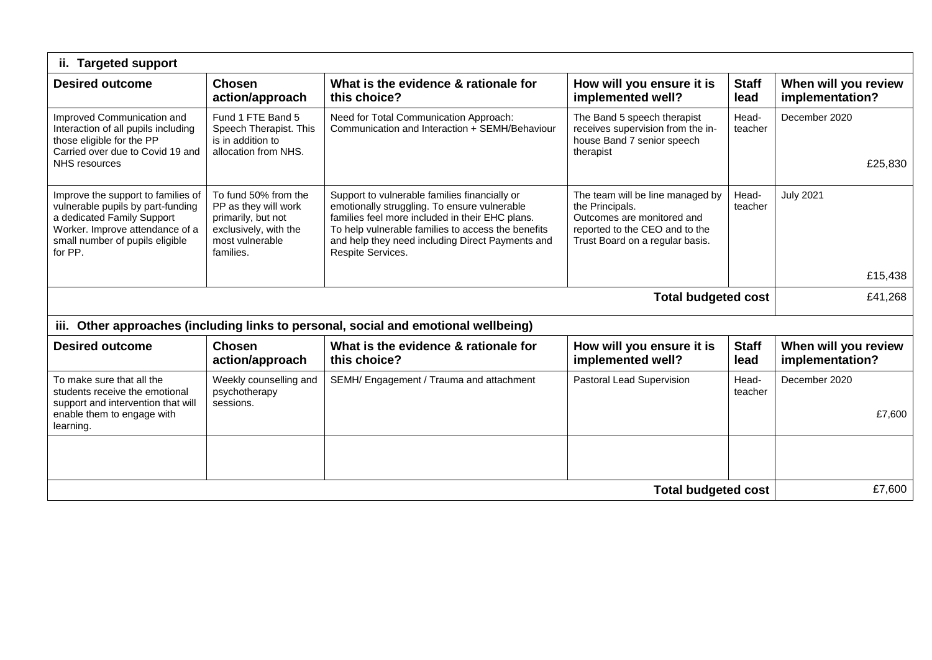| ii. Targeted support                                                                                                                                                                   |                                                                                                                             |                                                                                                                                                                                                                                                                                 |                                                                                                                                                        |                      |                                         |  |
|----------------------------------------------------------------------------------------------------------------------------------------------------------------------------------------|-----------------------------------------------------------------------------------------------------------------------------|---------------------------------------------------------------------------------------------------------------------------------------------------------------------------------------------------------------------------------------------------------------------------------|--------------------------------------------------------------------------------------------------------------------------------------------------------|----------------------|-----------------------------------------|--|
| <b>Desired outcome</b>                                                                                                                                                                 | <b>Chosen</b><br>action/approach                                                                                            | What is the evidence & rationale for<br>this choice?                                                                                                                                                                                                                            | How will you ensure it is<br>implemented well?                                                                                                         | <b>Staff</b><br>lead | When will you review<br>implementation? |  |
| Improved Communication and<br>Interaction of all pupils including<br>those eligible for the PP<br>Carried over due to Covid 19 and<br>NHS resources                                    | Fund 1 FTE Band 5<br>Speech Therapist. This<br>is in addition to<br>allocation from NHS.                                    | Need for Total Communication Approach:<br>Communication and Interaction + SEMH/Behaviour                                                                                                                                                                                        | The Band 5 speech therapist<br>receives supervision from the in-<br>house Band 7 senior speech<br>therapist                                            | Head-<br>teacher     | December 2020<br>£25,830                |  |
| Improve the support to families of<br>vulnerable pupils by part-funding<br>a dedicated Family Support<br>Worker. Improve attendance of a<br>small number of pupils eligible<br>for PP. | To fund 50% from the<br>PP as they will work<br>primarily, but not<br>exclusively, with the<br>most vulnerable<br>families. | Support to vulnerable families financially or<br>emotionally struggling. To ensure vulnerable<br>families feel more included in their EHC plans.<br>To help vulnerable families to access the benefits<br>and help they need including Direct Payments and<br>Respite Services. | The team will be line managed by<br>the Principals.<br>Outcomes are monitored and<br>reported to the CEO and to the<br>Trust Board on a regular basis. | Head-<br>teacher     | <b>July 2021</b>                        |  |
|                                                                                                                                                                                        |                                                                                                                             |                                                                                                                                                                                                                                                                                 |                                                                                                                                                        |                      | £15,438                                 |  |
|                                                                                                                                                                                        | <b>Total budgeted cost</b>                                                                                                  | £41,268                                                                                                                                                                                                                                                                         |                                                                                                                                                        |                      |                                         |  |
| iii.                                                                                                                                                                                   |                                                                                                                             | Other approaches (including links to personal, social and emotional wellbeing)                                                                                                                                                                                                  |                                                                                                                                                        |                      |                                         |  |
| <b>Desired outcome</b>                                                                                                                                                                 | <b>Chosen</b><br>action/approach                                                                                            | What is the evidence & rationale for<br>this choice?                                                                                                                                                                                                                            | How will you ensure it is<br>implemented well?                                                                                                         | <b>Staff</b><br>lead | When will you review<br>implementation? |  |
| To make sure that all the<br>students receive the emotional<br>support and intervention that will<br>enable them to engage with<br>learning.                                           | Weekly counselling and<br>psychotherapy<br>sessions.                                                                        | SEMH/ Engagement / Trauma and attachment                                                                                                                                                                                                                                        | Pastoral Lead Supervision                                                                                                                              | Head-<br>teacher     | December 2020<br>£7,600                 |  |
|                                                                                                                                                                                        |                                                                                                                             |                                                                                                                                                                                                                                                                                 |                                                                                                                                                        |                      |                                         |  |
|                                                                                                                                                                                        |                                                                                                                             |                                                                                                                                                                                                                                                                                 | <b>Total budgeted cost</b>                                                                                                                             |                      | £7,600                                  |  |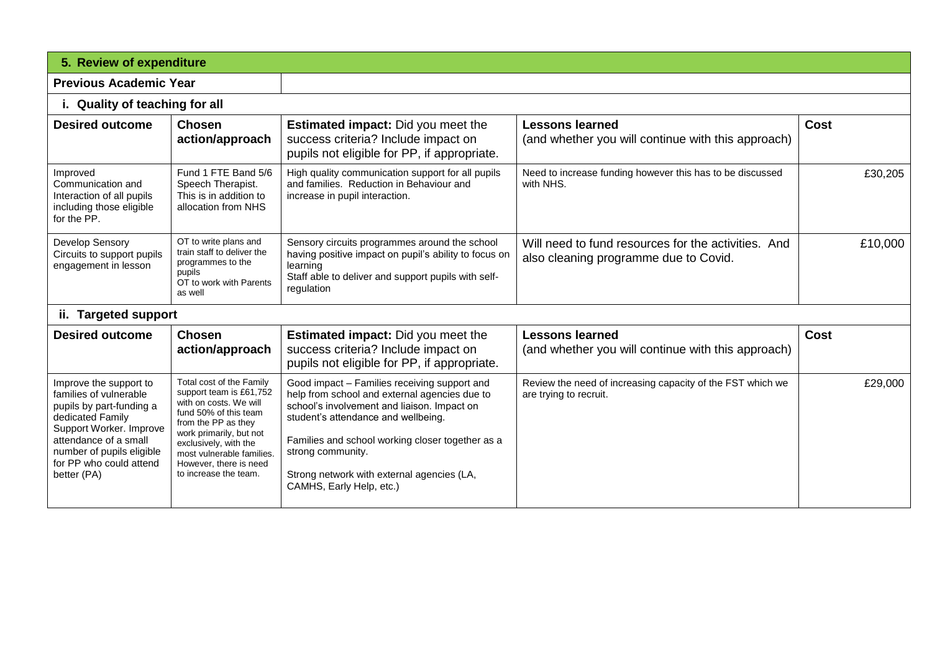| 5. Review of expenditure                                                                                                                                                                                                    |                                                                                                                                                                                                                                                                   |                                                                                                                                                                                                                                                                                                                                        |                                                                                              |             |  |  |
|-----------------------------------------------------------------------------------------------------------------------------------------------------------------------------------------------------------------------------|-------------------------------------------------------------------------------------------------------------------------------------------------------------------------------------------------------------------------------------------------------------------|----------------------------------------------------------------------------------------------------------------------------------------------------------------------------------------------------------------------------------------------------------------------------------------------------------------------------------------|----------------------------------------------------------------------------------------------|-------------|--|--|
| <b>Previous Academic Year</b>                                                                                                                                                                                               |                                                                                                                                                                                                                                                                   |                                                                                                                                                                                                                                                                                                                                        |                                                                                              |             |  |  |
| i. Quality of teaching for all                                                                                                                                                                                              |                                                                                                                                                                                                                                                                   |                                                                                                                                                                                                                                                                                                                                        |                                                                                              |             |  |  |
| <b>Desired outcome</b>                                                                                                                                                                                                      | <b>Chosen</b><br>action/approach                                                                                                                                                                                                                                  | <b>Estimated impact:</b> Did you meet the<br>success criteria? Include impact on<br>pupils not eligible for PP, if appropriate.                                                                                                                                                                                                        | <b>Lessons learned</b><br>(and whether you will continue with this approach)                 | Cost        |  |  |
| Improved<br>Communication and<br>Interaction of all pupils<br>including those eligible<br>for the PP.                                                                                                                       | Fund 1 FTE Band 5/6<br>Speech Therapist.<br>This is in addition to<br>allocation from NHS                                                                                                                                                                         | High quality communication support for all pupils<br>and families. Reduction in Behaviour and<br>increase in pupil interaction.                                                                                                                                                                                                        | Need to increase funding however this has to be discussed<br>with NHS.                       | £30,205     |  |  |
| <b>Develop Sensory</b><br>Circuits to support pupils<br>engagement in lesson                                                                                                                                                | OT to write plans and<br>train staff to deliver the<br>programmes to the<br>pupils<br>OT to work with Parents<br>as well                                                                                                                                          | Sensory circuits programmes around the school<br>having positive impact on pupil's ability to focus on<br>learning<br>Staff able to deliver and support pupils with self-<br>regulation                                                                                                                                                | Will need to fund resources for the activities. And<br>also cleaning programme due to Covid. | £10,000     |  |  |
| ii. Targeted support                                                                                                                                                                                                        |                                                                                                                                                                                                                                                                   |                                                                                                                                                                                                                                                                                                                                        |                                                                                              |             |  |  |
| <b>Desired outcome</b>                                                                                                                                                                                                      | <b>Chosen</b><br>action/approach                                                                                                                                                                                                                                  | <b>Estimated impact:</b> Did you meet the<br>success criteria? Include impact on<br>pupils not eligible for PP, if appropriate.                                                                                                                                                                                                        | <b>Lessons learned</b><br>(and whether you will continue with this approach)                 | <b>Cost</b> |  |  |
| Improve the support to<br>families of vulnerable<br>pupils by part-funding a<br>dedicated Family<br>Support Worker. Improve<br>attendance of a small<br>number of pupils eligible<br>for PP who could attend<br>better (PA) | Total cost of the Family<br>support team is £61,752<br>with on costs. We will<br>fund 50% of this team<br>from the PP as they<br>work primarily, but not<br>exclusively, with the<br>most vulnerable families.<br>However, there is need<br>to increase the team. | Good impact - Families receiving support and<br>help from school and external agencies due to<br>school's involvement and liaison. Impact on<br>student's attendance and wellbeing.<br>Families and school working closer together as a<br>strong community.<br>Strong network with external agencies (LA,<br>CAMHS, Early Help, etc.) | Review the need of increasing capacity of the FST which we<br>are trying to recruit.         | £29,000     |  |  |